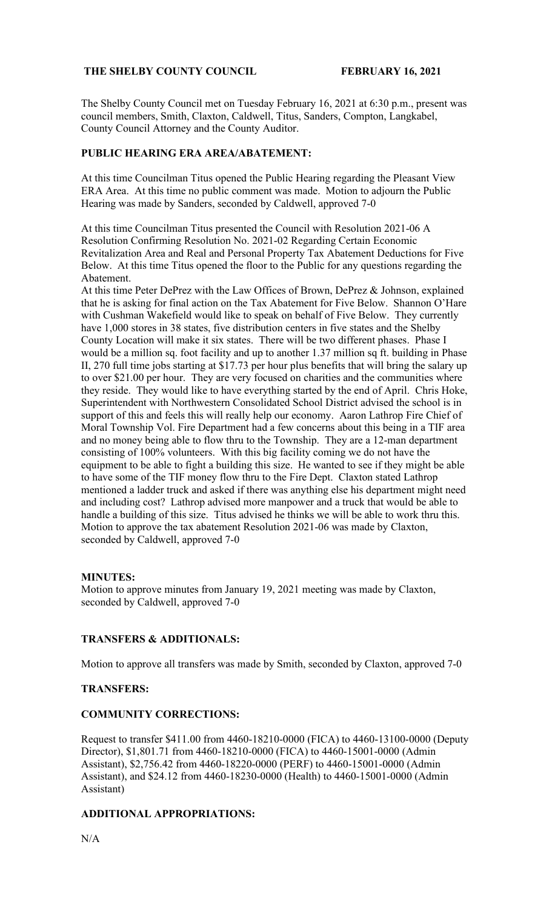# **THE SHELBY COUNTY COUNCIL FEBRUARY 16, 2021**

The Shelby County Council met on Tuesday February 16, 2021 at 6:30 p.m., present was council members, Smith, Claxton, Caldwell, Titus, Sanders, Compton, Langkabel, County Council Attorney and the County Auditor.

# **PUBLIC HEARING ERA AREA/ABATEMENT:**

At this time Councilman Titus opened the Public Hearing regarding the Pleasant View ERA Area. At this time no public comment was made. Motion to adjourn the Public Hearing was made by Sanders, seconded by Caldwell, approved 7-0

At this time Councilman Titus presented the Council with Resolution 2021-06 A Resolution Confirming Resolution No. 2021-02 Regarding Certain Economic Revitalization Area and Real and Personal Property Tax Abatement Deductions for Five Below. At this time Titus opened the floor to the Public for any questions regarding the Abatement.

At this time Peter DePrez with the Law Offices of Brown, DePrez & Johnson, explained that he is asking for final action on the Tax Abatement for Five Below. Shannon O'Hare with Cushman Wakefield would like to speak on behalf of Five Below. They currently have 1,000 stores in 38 states, five distribution centers in five states and the Shelby County Location will make it six states. There will be two different phases. Phase I would be a million sq. foot facility and up to another 1.37 million sq ft. building in Phase II, 270 full time jobs starting at \$17.73 per hour plus benefits that will bring the salary up to over \$21.00 per hour. They are very focused on charities and the communities where they reside. They would like to have everything started by the end of April. Chris Hoke, Superintendent with Northwestern Consolidated School District advised the school is in support of this and feels this will really help our economy. Aaron Lathrop Fire Chief of Moral Township Vol. Fire Department had a few concerns about this being in a TIF area and no money being able to flow thru to the Township. They are a 12-man department consisting of 100% volunteers. With this big facility coming we do not have the equipment to be able to fight a building this size. He wanted to see if they might be able to have some of the TIF money flow thru to the Fire Dept. Claxton stated Lathrop mentioned a ladder truck and asked if there was anything else his department might need and including cost? Lathrop advised more manpower and a truck that would be able to handle a building of this size. Titus advised he thinks we will be able to work thru this. Motion to approve the tax abatement Resolution 2021-06 was made by Claxton, seconded by Caldwell, approved 7-0

## **MINUTES:**

Motion to approve minutes from January 19, 2021 meeting was made by Claxton, seconded by Caldwell, approved 7-0

## **TRANSFERS & ADDITIONALS:**

Motion to approve all transfers was made by Smith, seconded by Claxton, approved 7-0

#### **TRANSFERS:**

#### **COMMUNITY CORRECTIONS:**

Request to transfer \$411.00 from 4460-18210-0000 (FICA) to 4460-13100-0000 (Deputy Director), \$1,801.71 from 4460-18210-0000 (FICA) to 4460-15001-0000 (Admin Assistant), \$2,756.42 from 4460-18220-0000 (PERF) to 4460-15001-0000 (Admin Assistant), and \$24.12 from 4460-18230-0000 (Health) to 4460-15001-0000 (Admin Assistant)

# **ADDITIONAL APPROPRIATIONS:**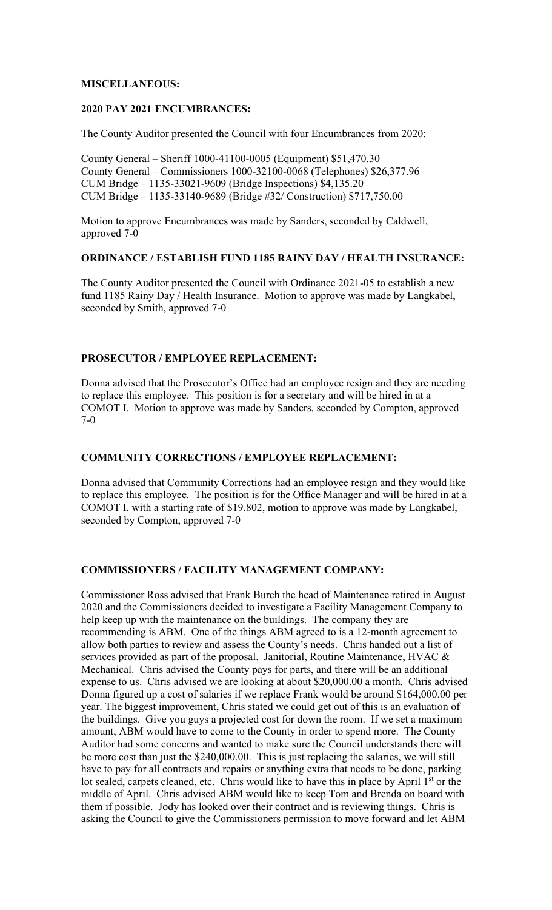# **MISCELLANEOUS:**

### **2020 PAY 2021 ENCUMBRANCES:**

The County Auditor presented the Council with four Encumbrances from 2020:

County General – Sheriff 1000-41100-0005 (Equipment) \$51,470.30 County General – Commissioners 1000-32100-0068 (Telephones) \$26,377.96 CUM Bridge – 1135-33021-9609 (Bridge Inspections) \$4,135.20 CUM Bridge – 1135-33140-9689 (Bridge #32/ Construction) \$717,750.00

Motion to approve Encumbrances was made by Sanders, seconded by Caldwell, approved 7-0

#### **ORDINANCE / ESTABLISH FUND 1185 RAINY DAY / HEALTH INSURANCE:**

The County Auditor presented the Council with Ordinance 2021-05 to establish a new fund 1185 Rainy Day / Health Insurance. Motion to approve was made by Langkabel, seconded by Smith, approved 7-0

### **PROSECUTOR / EMPLOYEE REPLACEMENT:**

Donna advised that the Prosecutor's Office had an employee resign and they are needing to replace this employee. This position is for a secretary and will be hired in at a COMOT I. Motion to approve was made by Sanders, seconded by Compton, approved 7-0

### **COMMUNITY CORRECTIONS / EMPLOYEE REPLACEMENT:**

Donna advised that Community Corrections had an employee resign and they would like to replace this employee. The position is for the Office Manager and will be hired in at a COMOT I. with a starting rate of \$19.802, motion to approve was made by Langkabel, seconded by Compton, approved 7-0

#### **COMMISSIONERS / FACILITY MANAGEMENT COMPANY:**

Commissioner Ross advised that Frank Burch the head of Maintenance retired in August 2020 and the Commissioners decided to investigate a Facility Management Company to help keep up with the maintenance on the buildings. The company they are recommending is ABM. One of the things ABM agreed to is a 12-month agreement to allow both parties to review and assess the County's needs. Chris handed out a list of services provided as part of the proposal. Janitorial, Routine Maintenance, HVAC & Mechanical. Chris advised the County pays for parts, and there will be an additional expense to us. Chris advised we are looking at about \$20,000.00 a month. Chris advised Donna figured up a cost of salaries if we replace Frank would be around \$164,000.00 per year. The biggest improvement, Chris stated we could get out of this is an evaluation of the buildings. Give you guys a projected cost for down the room. If we set a maximum amount, ABM would have to come to the County in order to spend more. The County Auditor had some concerns and wanted to make sure the Council understands there will be more cost than just the \$240,000.00. This is just replacing the salaries, we will still have to pay for all contracts and repairs or anything extra that needs to be done, parking lot sealed, carpets cleaned, etc. Chris would like to have this in place by April 1<sup>st</sup> or the middle of April. Chris advised ABM would like to keep Tom and Brenda on board with them if possible. Jody has looked over their contract and is reviewing things. Chris is asking the Council to give the Commissioners permission to move forward and let ABM